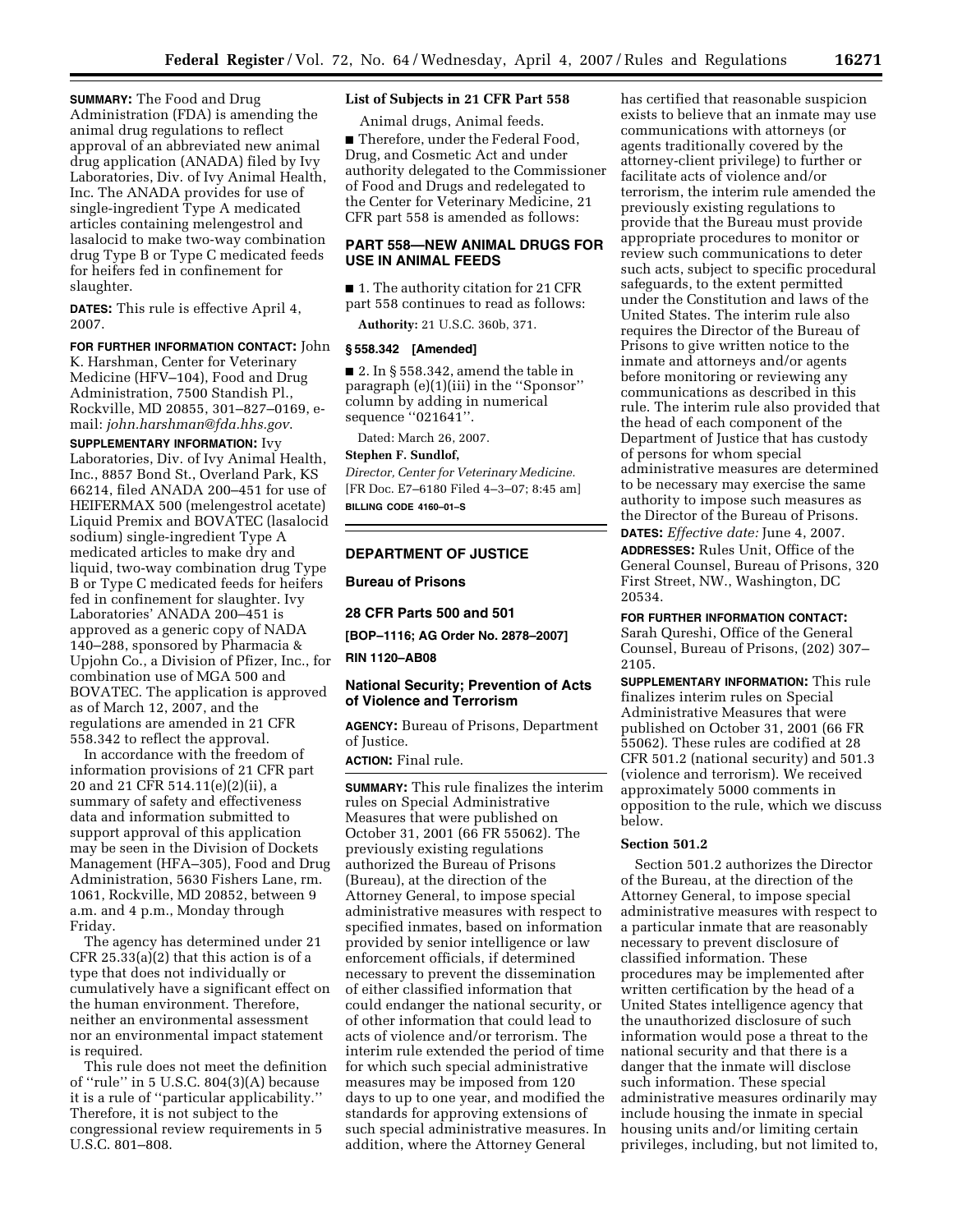**SUMMARY:** The Food and Drug Administration (FDA) is amending the animal drug regulations to reflect approval of an abbreviated new animal drug application (ANADA) filed by Ivy Laboratories, Div. of Ivy Animal Health, Inc. The ANADA provides for use of single-ingredient Type A medicated articles containing melengestrol and lasalocid to make two-way combination drug Type B or Type C medicated feeds for heifers fed in confinement for slaughter.

**DATES:** This rule is effective April 4, 2007.

**FOR FURTHER INFORMATION CONTACT:** John

K. Harshman, Center for Veterinary Medicine (HFV–104), Food and Drug Administration, 7500 Standish Pl., Rockville, MD 20855, 301–827–0169, email: *[john.harshman@fda.hhs.gov](mailto:john.harshman@fda.hhs.gov)*.

**SUPPLEMENTARY INFORMATION:** Ivy Laboratories, Div. of Ivy Animal Health, Inc., 8857 Bond St., Overland Park, KS 66214, filed ANADA 200–451 for use of HEIFERMAX 500 (melengestrol acetate) Liquid Premix and BOVATEC (lasalocid sodium) single-ingredient Type A medicated articles to make dry and liquid, two-way combination drug Type B or Type C medicated feeds for heifers fed in confinement for slaughter. Ivy Laboratories' ANADA 200–451 is approved as a generic copy of NADA 140–288, sponsored by Pharmacia & Upjohn Co., a Division of Pfizer, Inc., for combination use of MGA 500 and BOVATEC. The application is approved as of March 12, 2007, and the regulations are amended in 21 CFR 558.342 to reflect the approval.

In accordance with the freedom of information provisions of 21 CFR part 20 and 21 CFR 514.11(e)(2)(ii), a summary of safety and effectiveness data and information submitted to support approval of this application may be seen in the Division of Dockets Management (HFA–305), Food and Drug Administration, 5630 Fishers Lane, rm. 1061, Rockville, MD 20852, between 9 a.m. and 4 p.m., Monday through Friday.

The agency has determined under 21 CFR 25.33(a)(2) that this action is of a type that does not individually or cumulatively have a significant effect on the human environment. Therefore, neither an environmental assessment nor an environmental impact statement is required.

This rule does not meet the definition of ''rule'' in 5 U.S.C. 804(3)(A) because it is a rule of ''particular applicability.'' Therefore, it is not subject to the congressional review requirements in 5 U.S.C. 801–808.

# **List of Subjects in 21 CFR Part 558**

Animal drugs, Animal feeds.

■ Therefore, under the Federal Food, Drug, and Cosmetic Act and under authority delegated to the Commissioner of Food and Drugs and redelegated to the Center for Veterinary Medicine, 21 CFR part 558 is amended as follows:

# **PART 558—NEW ANIMAL DRUGS FOR USE IN ANIMAL FEEDS**

■ 1. The authority citation for 21 CFR part 558 continues to read as follows:

**Authority:** 21 U.S.C. 360b, 371.

#### **§ 558.342 [Amended]**

 $\blacksquare$  2. In § 558.342, amend the table in paragraph (e)(1)(iii) in the ''Sponsor'' column by adding in numerical sequence ''021641''.

Dated: March 26, 2007.

#### **Stephen F. Sundlof,**

*Director, Center for Veterinary Medicine.*  [FR Doc. E7–6180 Filed 4–3–07; 8:45 am] **BILLING CODE 4160–01–S** 

## **DEPARTMENT OF JUSTICE**

## **Bureau of Prisons**

## **28 CFR Parts 500 and 501**

**[BOP–1116; AG Order No. 2878–2007] RIN 1120–AB08** 

## **National Security; Prevention of Acts of Violence and Terrorism**

**AGENCY:** Bureau of Prisons, Department of Justice.

**ACTION:** Final rule.

**SUMMARY:** This rule finalizes the interim rules on Special Administrative Measures that were published on October 31, 2001 (66 FR 55062). The previously existing regulations authorized the Bureau of Prisons (Bureau), at the direction of the Attorney General, to impose special administrative measures with respect to specified inmates, based on information provided by senior intelligence or law enforcement officials, if determined necessary to prevent the dissemination of either classified information that could endanger the national security, or of other information that could lead to acts of violence and/or terrorism. The interim rule extended the period of time for which such special administrative measures may be imposed from 120 days to up to one year, and modified the standards for approving extensions of such special administrative measures. In addition, where the Attorney General

has certified that reasonable suspicion exists to believe that an inmate may use communications with attorneys (or agents traditionally covered by the attorney-client privilege) to further or facilitate acts of violence and/or terrorism, the interim rule amended the previously existing regulations to provide that the Bureau must provide appropriate procedures to monitor or review such communications to deter such acts, subject to specific procedural safeguards, to the extent permitted under the Constitution and laws of the United States. The interim rule also requires the Director of the Bureau of Prisons to give written notice to the inmate and attorneys and/or agents before monitoring or reviewing any communications as described in this rule. The interim rule also provided that the head of each component of the Department of Justice that has custody of persons for whom special administrative measures are determined to be necessary may exercise the same authority to impose such measures as the Director of the Bureau of Prisons. **DATES:** *Effective date:* June 4, 2007.

**ADDRESSES:** Rules Unit, Office of the General Counsel, Bureau of Prisons, 320 First Street, NW., Washington, DC 20534.

#### **FOR FURTHER INFORMATION CONTACT:**

Sarah Qureshi, Office of the General Counsel, Bureau of Prisons, (202) 307– 2105.

**SUPPLEMENTARY INFORMATION:** This rule finalizes interim rules on Special Administrative Measures that were published on October 31, 2001 (66 FR 55062). These rules are codified at 28 CFR 501.2 (national security) and 501.3 (violence and terrorism). We received approximately 5000 comments in opposition to the rule, which we discuss below.

#### **Section 501.2**

Section 501.2 authorizes the Director of the Bureau, at the direction of the Attorney General, to impose special administrative measures with respect to a particular inmate that are reasonably necessary to prevent disclosure of classified information. These procedures may be implemented after written certification by the head of a United States intelligence agency that the unauthorized disclosure of such information would pose a threat to the national security and that there is a danger that the inmate will disclose such information. These special administrative measures ordinarily may include housing the inmate in special housing units and/or limiting certain privileges, including, but not limited to,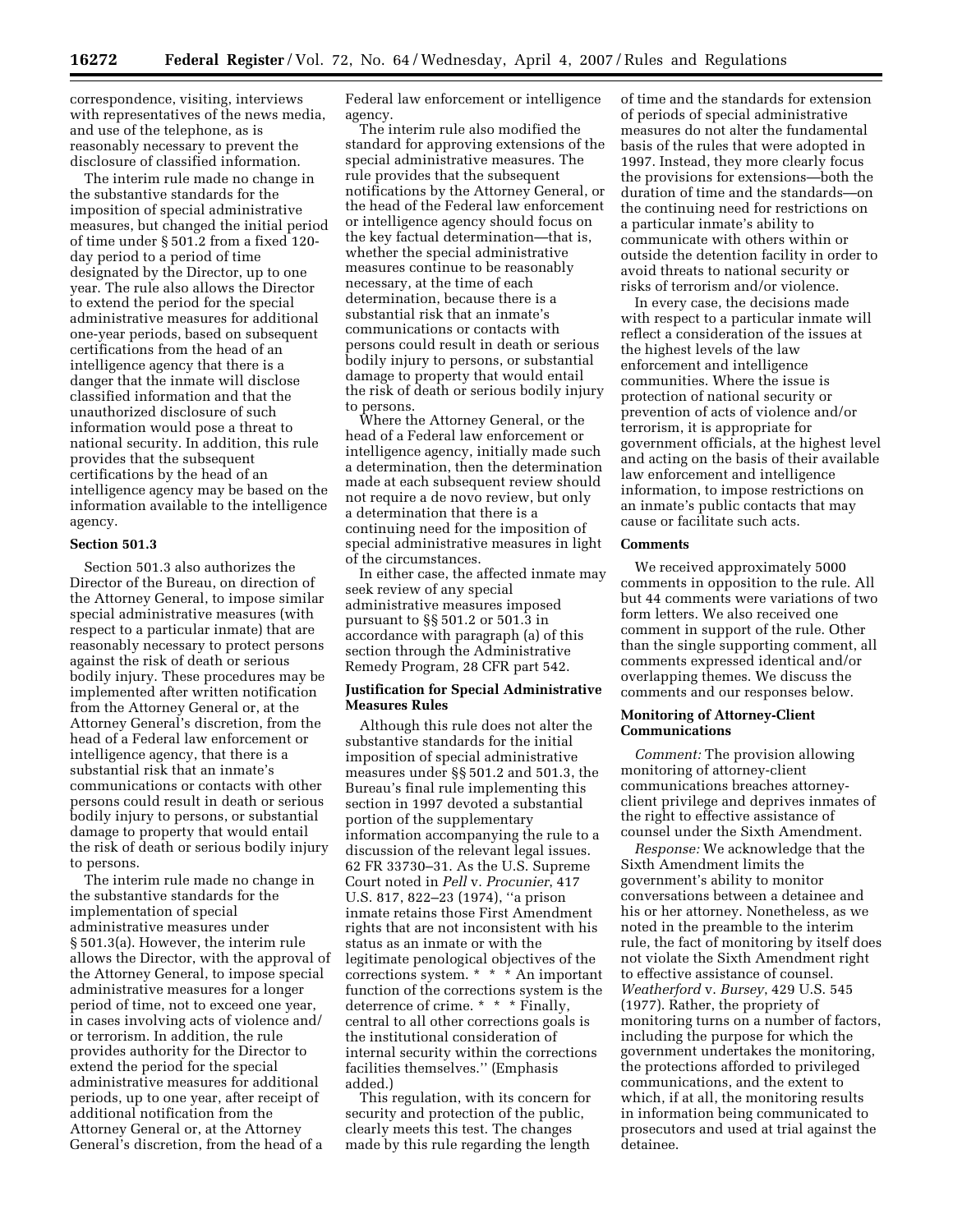correspondence, visiting, interviews with representatives of the news media, and use of the telephone, as is reasonably necessary to prevent the disclosure of classified information.

The interim rule made no change in the substantive standards for the imposition of special administrative measures, but changed the initial period of time under § 501.2 from a fixed 120 day period to a period of time designated by the Director, up to one year. The rule also allows the Director to extend the period for the special administrative measures for additional one-year periods, based on subsequent certifications from the head of an intelligence agency that there is a danger that the inmate will disclose classified information and that the unauthorized disclosure of such information would pose a threat to national security. In addition, this rule provides that the subsequent certifications by the head of an intelligence agency may be based on the information available to the intelligence agency.

#### **Section 501.3**

Section 501.3 also authorizes the Director of the Bureau, on direction of the Attorney General, to impose similar special administrative measures (with respect to a particular inmate) that are reasonably necessary to protect persons against the risk of death or serious bodily injury. These procedures may be implemented after written notification from the Attorney General or, at the Attorney General's discretion, from the head of a Federal law enforcement or intelligence agency, that there is a substantial risk that an inmate's communications or contacts with other persons could result in death or serious bodily injury to persons, or substantial damage to property that would entail the risk of death or serious bodily injury to persons.

The interim rule made no change in the substantive standards for the implementation of special administrative measures under § 501.3(a). However, the interim rule allows the Director, with the approval of the Attorney General, to impose special administrative measures for a longer period of time, not to exceed one year, in cases involving acts of violence and/ or terrorism. In addition, the rule provides authority for the Director to extend the period for the special administrative measures for additional periods, up to one year, after receipt of additional notification from the Attorney General or, at the Attorney General's discretion, from the head of a

Federal law enforcement or intelligence agency.

The interim rule also modified the standard for approving extensions of the special administrative measures. The rule provides that the subsequent notifications by the Attorney General, or the head of the Federal law enforcement or intelligence agency should focus on the key factual determination—that is, whether the special administrative measures continue to be reasonably necessary, at the time of each determination, because there is a substantial risk that an inmate's communications or contacts with persons could result in death or serious bodily injury to persons, or substantial damage to property that would entail the risk of death or serious bodily injury to persons.

Where the Attorney General, or the head of a Federal law enforcement or intelligence agency, initially made such a determination, then the determination made at each subsequent review should not require a de novo review, but only a determination that there is a continuing need for the imposition of special administrative measures in light of the circumstances.

In either case, the affected inmate may seek review of any special administrative measures imposed pursuant to §§ 501.2 or 501.3 in accordance with paragraph (a) of this section through the Administrative Remedy Program, 28 CFR part 542.

## **Justification for Special Administrative Measures Rules**

Although this rule does not alter the substantive standards for the initial imposition of special administrative measures under §§ 501.2 and 501.3, the Bureau's final rule implementing this section in 1997 devoted a substantial portion of the supplementary information accompanying the rule to a discussion of the relevant legal issues. 62 FR 33730–31. As the U.S. Supreme Court noted in *Pell* v. *Procunier*, 417 U.S. 817, 822–23 (1974), ''a prison inmate retains those First Amendment rights that are not inconsistent with his status as an inmate or with the legitimate penological objectives of the corrections system. \* \* \* An important function of the corrections system is the deterrence of crime. \* \* \* Finally, central to all other corrections goals is the institutional consideration of internal security within the corrections facilities themselves.'' (Emphasis added.)

This regulation, with its concern for security and protection of the public, clearly meets this test. The changes made by this rule regarding the length

of time and the standards for extension of periods of special administrative measures do not alter the fundamental basis of the rules that were adopted in 1997. Instead, they more clearly focus the provisions for extensions—both the duration of time and the standards—on the continuing need for restrictions on a particular inmate's ability to communicate with others within or outside the detention facility in order to avoid threats to national security or risks of terrorism and/or violence.

In every case, the decisions made with respect to a particular inmate will reflect a consideration of the issues at the highest levels of the law enforcement and intelligence communities. Where the issue is protection of national security or prevention of acts of violence and/or terrorism, it is appropriate for government officials, at the highest level and acting on the basis of their available law enforcement and intelligence information, to impose restrictions on an inmate's public contacts that may cause or facilitate such acts.

#### **Comments**

We received approximately 5000 comments in opposition to the rule. All but 44 comments were variations of two form letters. We also received one comment in support of the rule. Other than the single supporting comment, all comments expressed identical and/or overlapping themes. We discuss the comments and our responses below.

## **Monitoring of Attorney-Client Communications**

*Comment:* The provision allowing monitoring of attorney-client communications breaches attorneyclient privilege and deprives inmates of the right to effective assistance of counsel under the Sixth Amendment.

*Response:* We acknowledge that the Sixth Amendment limits the government's ability to monitor conversations between a detainee and his or her attorney. Nonetheless, as we noted in the preamble to the interim rule, the fact of monitoring by itself does not violate the Sixth Amendment right to effective assistance of counsel. *Weatherford* v. *Bursey*, 429 U.S. 545 (1977). Rather, the propriety of monitoring turns on a number of factors, including the purpose for which the government undertakes the monitoring, the protections afforded to privileged communications, and the extent to which, if at all, the monitoring results in information being communicated to prosecutors and used at trial against the detainee.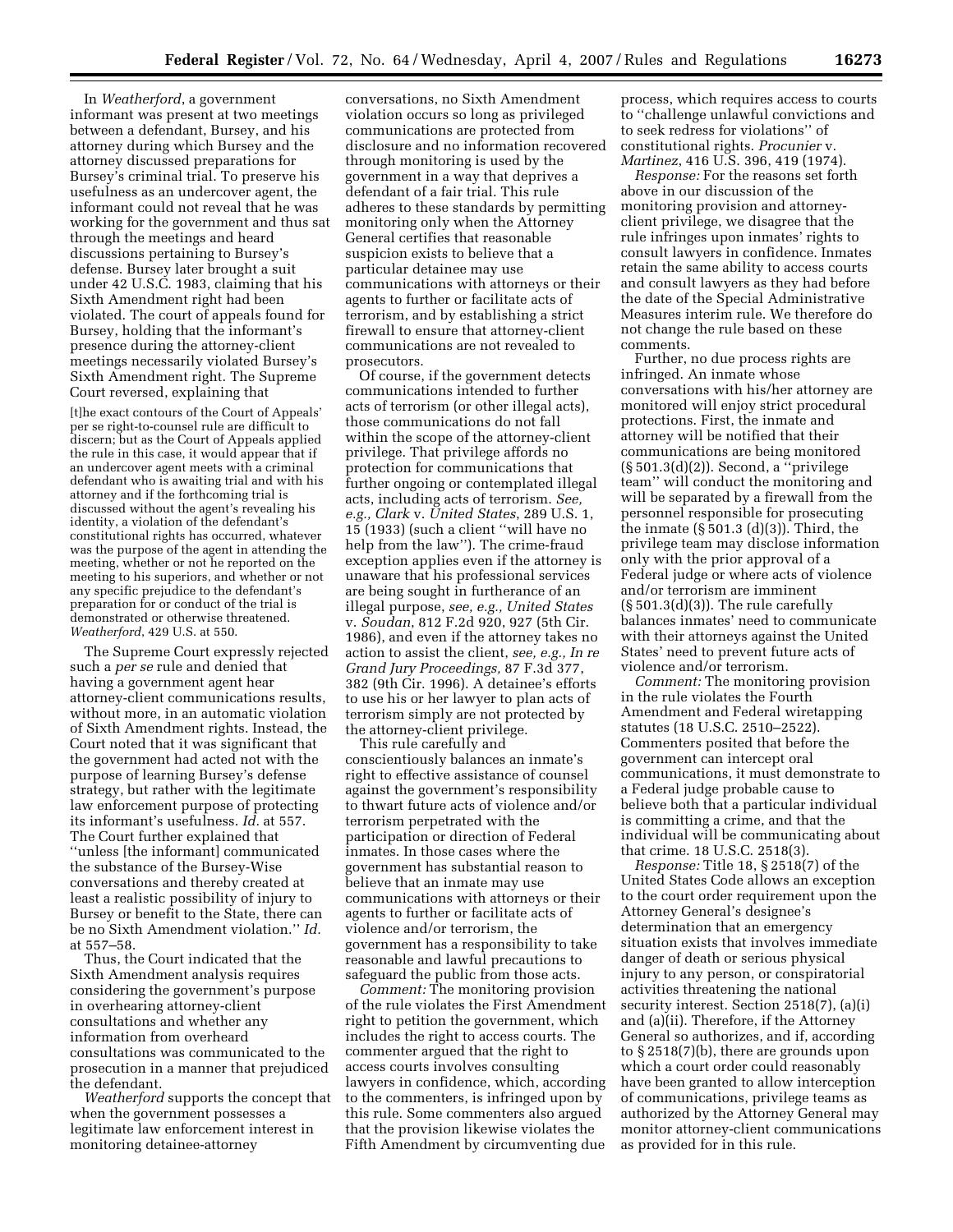In *Weatherford*, a government informant was present at two meetings between a defendant, Bursey, and his attorney during which Bursey and the attorney discussed preparations for Bursey's criminal trial. To preserve his usefulness as an undercover agent, the informant could not reveal that he was working for the government and thus sat through the meetings and heard discussions pertaining to Bursey's defense. Bursey later brought a suit under 42 U.S.C. 1983, claiming that his Sixth Amendment right had been violated. The court of appeals found for Bursey, holding that the informant's presence during the attorney-client meetings necessarily violated Bursey's Sixth Amendment right. The Supreme Court reversed, explaining that

[t]he exact contours of the Court of Appeals' per se right-to-counsel rule are difficult to discern; but as the Court of Appeals applied the rule in this case, it would appear that if an undercover agent meets with a criminal defendant who is awaiting trial and with his attorney and if the forthcoming trial is discussed without the agent's revealing his identity, a violation of the defendant's constitutional rights has occurred, whatever was the purpose of the agent in attending the meeting, whether or not he reported on the meeting to his superiors, and whether or not any specific prejudice to the defendant's preparation for or conduct of the trial is demonstrated or otherwise threatened. *Weatherford*, 429 U.S. at 550.

The Supreme Court expressly rejected such a *per se* rule and denied that having a government agent hear attorney-client communications results, without more, in an automatic violation of Sixth Amendment rights. Instead, the Court noted that it was significant that the government had acted not with the purpose of learning Bursey's defense strategy, but rather with the legitimate law enforcement purpose of protecting its informant's usefulness. *Id.* at 557. The Court further explained that ''unless [the informant] communicated the substance of the Bursey-Wise conversations and thereby created at least a realistic possibility of injury to Bursey or benefit to the State, there can be no Sixth Amendment violation.'' *Id.*  at 557–58.

Thus, the Court indicated that the Sixth Amendment analysis requires considering the government's purpose in overhearing attorney-client consultations and whether any information from overheard consultations was communicated to the prosecution in a manner that prejudiced the defendant.

*Weatherford* supports the concept that when the government possesses a legitimate law enforcement interest in monitoring detainee-attorney

conversations, no Sixth Amendment violation occurs so long as privileged communications are protected from disclosure and no information recovered through monitoring is used by the government in a way that deprives a defendant of a fair trial. This rule adheres to these standards by permitting monitoring only when the Attorney General certifies that reasonable suspicion exists to believe that a particular detainee may use communications with attorneys or their agents to further or facilitate acts of terrorism, and by establishing a strict firewall to ensure that attorney-client communications are not revealed to prosecutors.

Of course, if the government detects communications intended to further acts of terrorism (or other illegal acts), those communications do not fall within the scope of the attorney-client privilege. That privilege affords no protection for communications that further ongoing or contemplated illegal acts, including acts of terrorism. *See, e.g., Clark* v. *United States*, 289 U.S. 1, 15 (1933) (such a client ''will have no help from the law''). The crime-fraud exception applies even if the attorney is unaware that his professional services are being sought in furtherance of an illegal purpose, *see, e.g., United States*  v. *Soudan*, 812 F.2d 920, 927 (5th Cir. 1986), and even if the attorney takes no action to assist the client, *see, e.g., In re Grand Jury Proceedings,* 87 F.3d 377, 382 (9th Cir. 1996). A detainee's efforts to use his or her lawyer to plan acts of terrorism simply are not protected by the attorney-client privilege.

This rule carefully and conscientiously balances an inmate's right to effective assistance of counsel against the government's responsibility to thwart future acts of violence and/or terrorism perpetrated with the participation or direction of Federal inmates. In those cases where the government has substantial reason to believe that an inmate may use communications with attorneys or their agents to further or facilitate acts of violence and/or terrorism, the government has a responsibility to take reasonable and lawful precautions to safeguard the public from those acts.

*Comment:* The monitoring provision of the rule violates the First Amendment right to petition the government, which includes the right to access courts. The commenter argued that the right to access courts involves consulting lawyers in confidence, which, according to the commenters, is infringed upon by this rule. Some commenters also argued that the provision likewise violates the Fifth Amendment by circumventing due

process, which requires access to courts to ''challenge unlawful convictions and to seek redress for violations'' of constitutional rights. *Procunier* v. *Martinez*, 416 U.S. 396, 419 (1974).

*Response:* For the reasons set forth above in our discussion of the monitoring provision and attorneyclient privilege, we disagree that the rule infringes upon inmates' rights to consult lawyers in confidence. Inmates retain the same ability to access courts and consult lawyers as they had before the date of the Special Administrative Measures interim rule. We therefore do not change the rule based on these comments.

Further, no due process rights are infringed. An inmate whose conversations with his/her attorney are monitored will enjoy strict procedural protections. First, the inmate and attorney will be notified that their communications are being monitored (§ 501.3(d)(2)). Second, a ''privilege team'' will conduct the monitoring and will be separated by a firewall from the personnel responsible for prosecuting the inmate  $(\S 501.3 \text{ (d)}(3))$ . Third, the privilege team may disclose information only with the prior approval of a Federal judge or where acts of violence and/or terrorism are imminent  $(\S 501.3(d)(3))$ . The rule carefully balances inmates' need to communicate with their attorneys against the United States' need to prevent future acts of violence and/or terrorism.

*Comment:* The monitoring provision in the rule violates the Fourth Amendment and Federal wiretapping statutes (18 U.S.C. 2510–2522). Commenters posited that before the government can intercept oral communications, it must demonstrate to a Federal judge probable cause to believe both that a particular individual is committing a crime, and that the individual will be communicating about that crime. 18 U.S.C. 2518(3).

*Response:* Title 18, § 2518(7) of the United States Code allows an exception to the court order requirement upon the Attorney General's designee's determination that an emergency situation exists that involves immediate danger of death or serious physical injury to any person, or conspiratorial activities threatening the national security interest. Section 2518(7), (a)(i) and (a)(ii). Therefore, if the Attorney General so authorizes, and if, according to § 2518(7)(b), there are grounds upon which a court order could reasonably have been granted to allow interception of communications, privilege teams as authorized by the Attorney General may monitor attorney-client communications as provided for in this rule.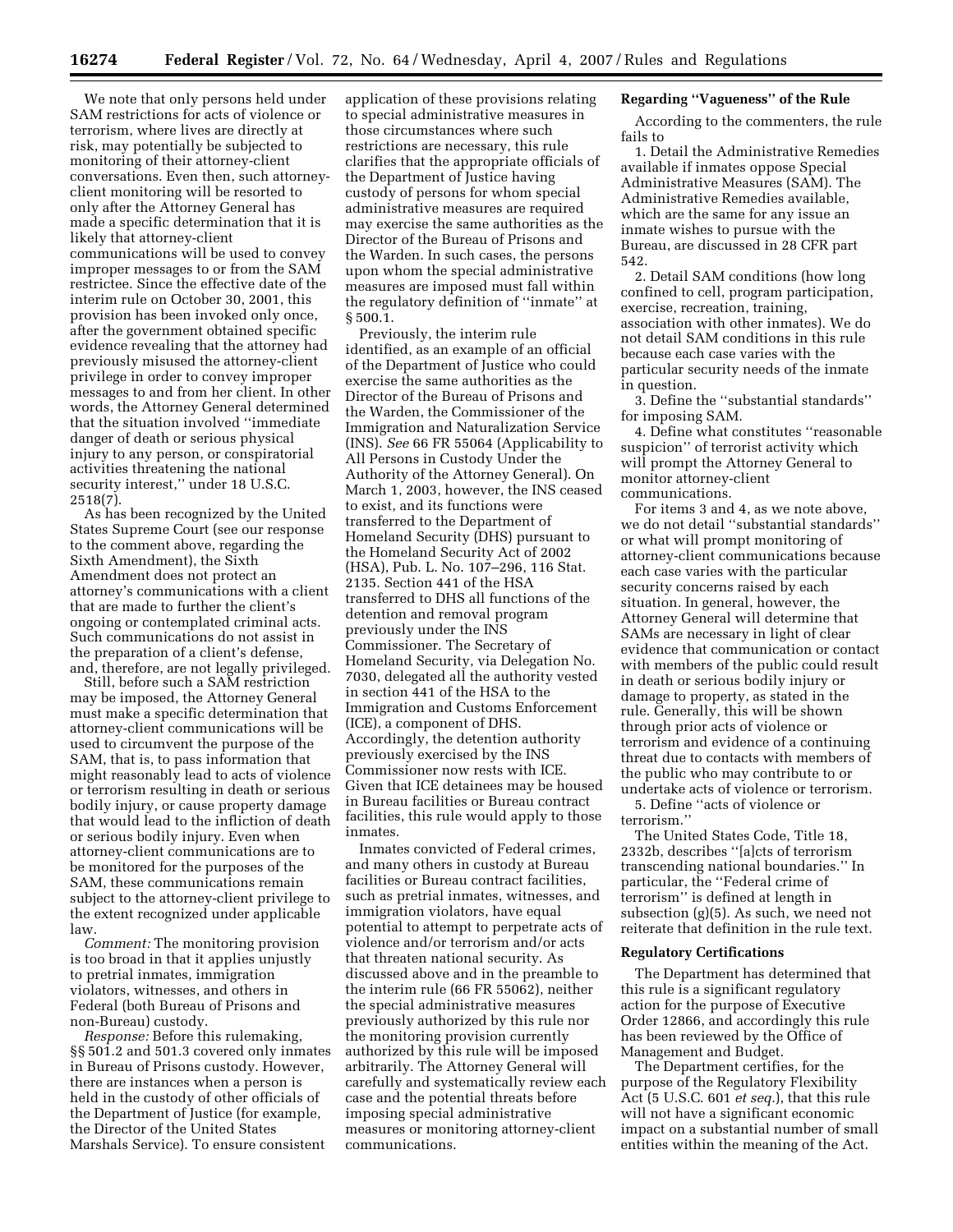We note that only persons held under SAM restrictions for acts of violence or terrorism, where lives are directly at risk, may potentially be subjected to monitoring of their attorney-client conversations. Even then, such attorneyclient monitoring will be resorted to only after the Attorney General has made a specific determination that it is likely that attorney-client communications will be used to convey improper messages to or from the SAM restrictee. Since the effective date of the interim rule on October 30, 2001, this provision has been invoked only once, after the government obtained specific evidence revealing that the attorney had previously misused the attorney-client privilege in order to convey improper messages to and from her client. In other words, the Attorney General determined that the situation involved ''immediate danger of death or serious physical injury to any person, or conspiratorial activities threatening the national security interest,'' under 18 U.S.C. 2518(7).

As has been recognized by the United States Supreme Court (see our response to the comment above, regarding the Sixth Amendment), the Sixth Amendment does not protect an attorney's communications with a client that are made to further the client's ongoing or contemplated criminal acts. Such communications do not assist in the preparation of a client's defense, and, therefore, are not legally privileged.

Still, before such a SAM restriction may be imposed, the Attorney General must make a specific determination that attorney-client communications will be used to circumvent the purpose of the SAM, that is, to pass information that might reasonably lead to acts of violence or terrorism resulting in death or serious bodily injury, or cause property damage that would lead to the infliction of death or serious bodily injury. Even when attorney-client communications are to be monitored for the purposes of the SAM, these communications remain subject to the attorney-client privilege to the extent recognized under applicable law.

*Comment:* The monitoring provision is too broad in that it applies unjustly to pretrial inmates, immigration violators, witnesses, and others in Federal (both Bureau of Prisons and non-Bureau) custody.

*Response:* Before this rulemaking, §§ 501.2 and 501.3 covered only inmates in Bureau of Prisons custody. However, there are instances when a person is held in the custody of other officials of the Department of Justice (for example, the Director of the United States Marshals Service). To ensure consistent

application of these provisions relating to special administrative measures in those circumstances where such restrictions are necessary, this rule clarifies that the appropriate officials of the Department of Justice having custody of persons for whom special administrative measures are required may exercise the same authorities as the Director of the Bureau of Prisons and the Warden. In such cases, the persons upon whom the special administrative measures are imposed must fall within the regulatory definition of ''inmate'' at § 500.1.

Previously, the interim rule identified, as an example of an official of the Department of Justice who could exercise the same authorities as the Director of the Bureau of Prisons and the Warden, the Commissioner of the Immigration and Naturalization Service (INS). *See* 66 FR 55064 (Applicability to All Persons in Custody Under the Authority of the Attorney General). On March 1, 2003, however, the INS ceased to exist, and its functions were transferred to the Department of Homeland Security (DHS) pursuant to the Homeland Security Act of 2002 (HSA), Pub. L. No. 107–296, 116 Stat. 2135. Section 441 of the HSA transferred to DHS all functions of the detention and removal program previously under the INS Commissioner. The Secretary of Homeland Security, via Delegation No. 7030, delegated all the authority vested in section 441 of the HSA to the Immigration and Customs Enforcement (ICE), a component of DHS. Accordingly, the detention authority previously exercised by the INS Commissioner now rests with ICE. Given that ICE detainees may be housed in Bureau facilities or Bureau contract facilities, this rule would apply to those inmates.

Inmates convicted of Federal crimes, and many others in custody at Bureau facilities or Bureau contract facilities, such as pretrial inmates, witnesses, and immigration violators, have equal potential to attempt to perpetrate acts of violence and/or terrorism and/or acts that threaten national security. As discussed above and in the preamble to the interim rule (66 FR 55062), neither the special administrative measures previously authorized by this rule nor the monitoring provision currently authorized by this rule will be imposed arbitrarily. The Attorney General will carefully and systematically review each case and the potential threats before imposing special administrative measures or monitoring attorney-client communications.

#### **Regarding ''Vagueness'' of the Rule**

According to the commenters, the rule fails to

1. Detail the Administrative Remedies available if inmates oppose Special Administrative Measures (SAM). The Administrative Remedies available, which are the same for any issue an inmate wishes to pursue with the Bureau, are discussed in 28 CFR part 542.

2. Detail SAM conditions (how long confined to cell, program participation, exercise, recreation, training, association with other inmates). We do not detail SAM conditions in this rule because each case varies with the particular security needs of the inmate in question.

3. Define the ''substantial standards'' for imposing SAM.

4. Define what constitutes ''reasonable suspicion'' of terrorist activity which will prompt the Attorney General to monitor attorney-client communications.

For items 3 and 4, as we note above, we do not detail ''substantial standards'' or what will prompt monitoring of attorney-client communications because each case varies with the particular security concerns raised by each situation. In general, however, the Attorney General will determine that SAMs are necessary in light of clear evidence that communication or contact with members of the public could result in death or serious bodily injury or damage to property, as stated in the rule. Generally, this will be shown through prior acts of violence or terrorism and evidence of a continuing threat due to contacts with members of the public who may contribute to or undertake acts of violence or terrorism.

5. Define ''acts of violence or terrorism.''

The United States Code, Title 18, 2332b, describes ''[a]cts of terrorism transcending national boundaries.'' In particular, the ''Federal crime of terrorism'' is defined at length in subsection (g)(5). As such, we need not reiterate that definition in the rule text.

#### **Regulatory Certifications**

The Department has determined that this rule is a significant regulatory action for the purpose of Executive Order 12866, and accordingly this rule has been reviewed by the Office of Management and Budget.

The Department certifies, for the purpose of the Regulatory Flexibility Act (5 U.S.C. 601 *et seq.*), that this rule will not have a significant economic impact on a substantial number of small entities within the meaning of the Act.